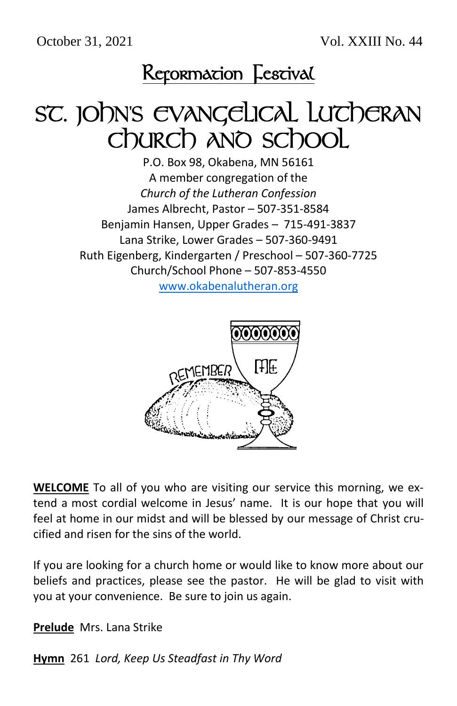October 31, 2021 Vol. XXIII No. 44



# SC. JOhn's EVANGELICAL LUTCHERAN Church and school

P.O. Box 98, Okabena, MN 56161 A member congregation of the *Church of the Lutheran Confession* James Albrecht, Pastor – 507-351-8584 Benjamin Hansen, Upper Grades – 715-491-3837 Lana Strike, Lower Grades – 507-360-9491 Ruth Eigenberg, Kindergarten / Preschool – 507-360-7725 Church/School Phone – 507-853-4550

[www.okabenalutheran.org](http://www.okabenalutheran.org/)



**WELCOME** To all of you who are visiting our service this morning, we extend a most cordial welcome in Jesus' name. It is our hope that you will feel at home in our midst and will be blessed by our message of Christ crucified and risen for the sins of the world.

If you are looking for a church home or would like to know more about our beliefs and practices, please see the pastor. He will be glad to visit with you at your convenience. Be sure to join us again.

**Prelude** Mrs. Lana Strike

**Hymn** 261 *Lord, Keep Us Steadfast in Thy Word*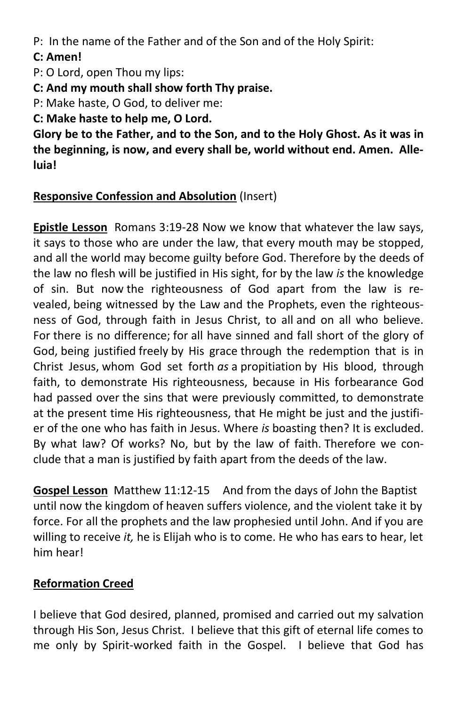P: In the name of the Father and of the Son and of the Holy Spirit:

#### **C: Amen!**

P: O Lord, open Thou my lips:

**C: And my mouth shall show forth Thy praise.**

P: Make haste, O God, to deliver me:

**C: Make haste to help me, O Lord.**

**Glory be to the Father, and to the Son, and to the Holy Ghost. As it was in the beginning, is now, and every shall be, world without end. Amen. Alleluia!**

### **Responsive Confession and Absolution** (Insert)

**Epistle Lesson** Romans 3:19-28 Now we know that whatever the law says, it says to those who are under the law, that every mouth may be stopped, and all the world may become guilty before God. Therefore by the deeds of the law no flesh will be justified in His sight, for by the law *is* the knowledge of sin. But now the righteousness of God apart from the law is revealed, being witnessed by the Law and the Prophets, even the righteousness of God, through faith in Jesus Christ, to all and on all who believe. For there is no difference; for all have sinned and fall short of the glory of God, being justified freely by His grace through the redemption that is in Christ Jesus, whom God set forth *as* a propitiation by His blood, through faith, to demonstrate His righteousness, because in His forbearance God had passed over the sins that were previously committed, to demonstrate at the present time His righteousness, that He might be just and the justifier of the one who has faith in Jesus. Where *is* boasting then? It is excluded. By what law? Of works? No, but by the law of faith. Therefore we conclude that a man is justified by faith apart from the deeds of the law.

**Gospel Lesson** Matthew 11:12-15 And from the days of John the Baptist until now the kingdom of heaven suffers violence, and the violent take it by force. For all the prophets and the law prophesied until John. And if you are willing to receive *it,* he is Elijah who is to come. He who has ears to hear, let him hear!

## **Reformation Creed**

I believe that God desired, planned, promised and carried out my salvation through His Son, Jesus Christ. I believe that this gift of eternal life comes to me only by Spirit-worked faith in the Gospel. I believe that God has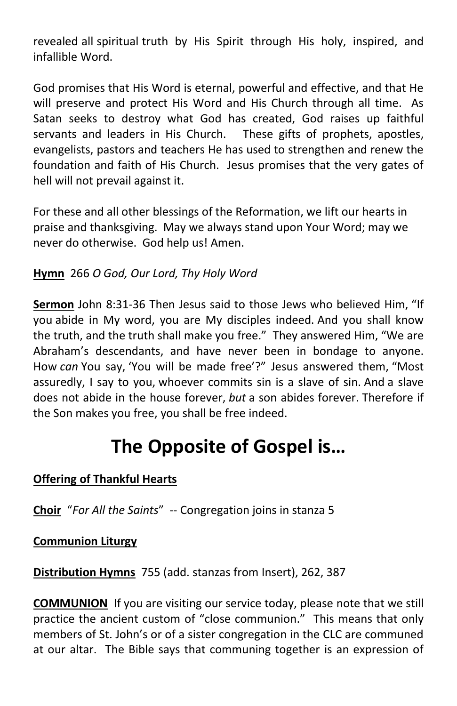revealed all spiritual truth by His Spirit through His holy, inspired, and infallible Word.

God promises that His Word is eternal, powerful and effective, and that He will preserve and protect His Word and His Church through all time. As Satan seeks to destroy what God has created, God raises up faithful servants and leaders in His Church. These gifts of prophets, apostles, evangelists, pastors and teachers He has used to strengthen and renew the foundation and faith of His Church. Jesus promises that the very gates of hell will not prevail against it.

For these and all other blessings of the Reformation, we lift our hearts in praise and thanksgiving. May we always stand upon Your Word; may we never do otherwise. God help us! Amen.

### **Hymn** 266 *O God, Our Lord, Thy Holy Word*

**Sermon** John 8:31-36 Then Jesus said to those Jews who believed Him, "If you abide in My word, you are My disciples indeed. And you shall know the truth, and the truth shall make you free." They answered Him, "We are Abraham's descendants, and have never been in bondage to anyone. How *can* You say, 'You will be made free'?" Jesus answered them, "Most assuredly, I say to you, whoever commits sin is a slave of sin. And a slave does not abide in the house forever, *but* a son abides forever. Therefore if the Son makes you free, you shall be free indeed.

# **The Opposite of Gospel is…**

#### **Offering of Thankful Hearts**

**Choir** "*For All the Saints*" -- Congregation joins in stanza 5

#### **Communion Liturgy**

**Distribution Hymns** 755 (add. stanzas from Insert), 262, 387

**COMMUNION** If you are visiting our service today, please note that we still practice the ancient custom of "close communion." This means that only members of St. John's or of a sister congregation in the CLC are communed at our altar. The Bible says that communing together is an expression of